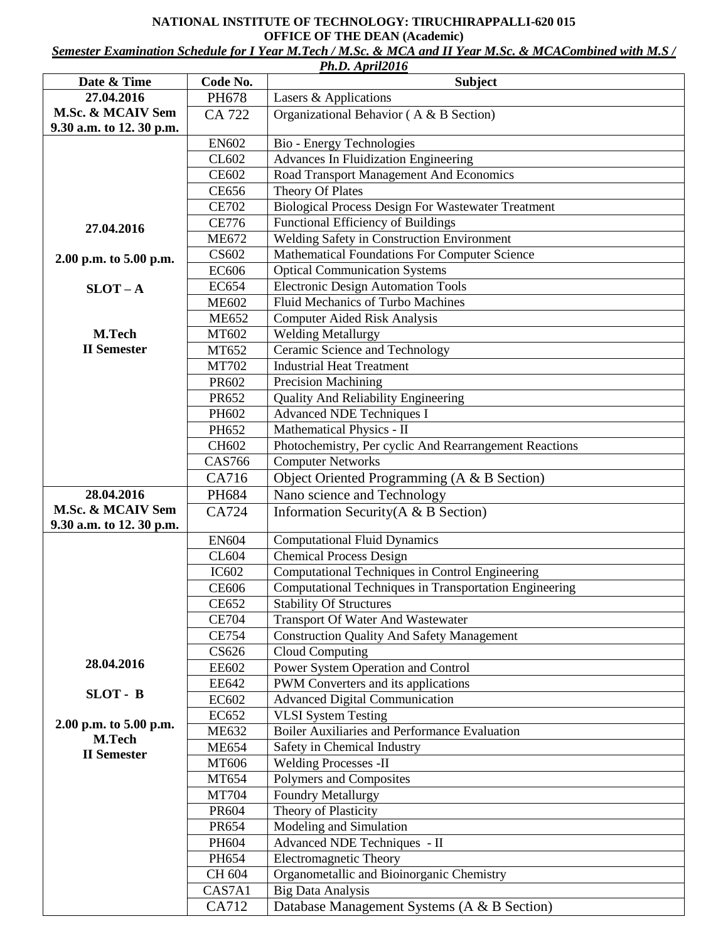## **NATIONAL INSTITUTE OF TECHNOLOGY: TIRUCHIRAPPALLI-620 015 OFFICE OF THE DEAN (Academic)**

*Semester Examination Schedule for I Year M.Tech / M.Sc. & MCA and II Year M.Sc. & MCACombined with M.S /* 

|                          |                       | Ph.D. April2016                                                       |
|--------------------------|-----------------------|-----------------------------------------------------------------------|
| Date & Time              | Code No.              | <b>Subject</b>                                                        |
| 27.04.2016               | PH678                 | Lasers & Applications                                                 |
| M.Sc. & MCAIV Sem        | CA 722                | Organizational Behavior (A & B Section)                               |
| 9.30 a.m. to 12. 30 p.m. |                       |                                                                       |
|                          | <b>EN602</b>          | Bio - Energy Technologies                                             |
|                          | CL602                 | Advances In Fluidization Engineering                                  |
|                          | <b>CE602</b>          | Road Transport Management And Economics                               |
|                          | <b>CE656</b>          | Theory Of Plates                                                      |
|                          | <b>CE702</b>          | <b>Biological Process Design For Wastewater Treatment</b>             |
| 27.04.2016               | <b>CE776</b>          | Functional Efficiency of Buildings                                    |
|                          | <b>ME672</b>          | Welding Safety in Construction Environment                            |
| 2.00 p.m. to 5.00 p.m.   | CS602                 | Mathematical Foundations For Computer Science                         |
|                          | <b>EC606</b>          | <b>Optical Communication Systems</b>                                  |
| $SLOT - A$               | <b>EC654</b>          | <b>Electronic Design Automation Tools</b>                             |
|                          | <b>ME602</b>          | <b>Fluid Mechanics of Turbo Machines</b>                              |
|                          | <b>ME652</b>          | <b>Computer Aided Risk Analysis</b>                                   |
| M.Tech                   | MT602                 | <b>Welding Metallurgy</b>                                             |
| <b>II</b> Semester       | MT652                 | Ceramic Science and Technology                                        |
|                          | <b>MT702</b>          | <b>Industrial Heat Treatment</b>                                      |
|                          | PR602                 | <b>Precision Machining</b>                                            |
|                          | PR652                 | <b>Quality And Reliability Engineering</b>                            |
|                          | PH602                 | <b>Advanced NDE Techniques I</b>                                      |
|                          | PH652                 | Mathematical Physics - II                                             |
|                          | CH602                 | Photochemistry, Per cyclic And Rearrangement Reactions                |
|                          | <b>CAS766</b>         | <b>Computer Networks</b>                                              |
|                          | CA716                 | Object Oriented Programming (A & B Section)                           |
| 28.04.2016               | PH684                 | Nano science and Technology                                           |
| M.Sc. & MCAIV Sem        | CA724                 | Information Security ( $A \& B$ Section)                              |
| 9.30 a.m. to 12. 30 p.m. |                       |                                                                       |
|                          | <b>EN604</b><br>CL604 | <b>Computational Fluid Dynamics</b><br><b>Chemical Process Design</b> |
|                          | <b>IC602</b>          | Computational Techniques in Control Engineering                       |
|                          | <b>CE606</b>          | Computational Techniques in Transportation Engineering                |
|                          | <b>CE652</b>          | <b>Stability Of Structures</b>                                        |
|                          | <b>CE704</b>          | <b>Transport Of Water And Wastewater</b>                              |
|                          | <b>CE754</b>          | <b>Construction Quality And Safety Management</b>                     |
|                          | CS626                 | <b>Cloud Computing</b>                                                |
| 28.04.2016               | <b>EE602</b>          | Power System Operation and Control                                    |
|                          | <b>EE642</b>          | PWM Converters and its applications                                   |
| SLOT - B                 | EC602                 | <b>Advanced Digital Communication</b>                                 |
|                          | EC652                 | <b>VLSI</b> System Testing                                            |
| 2.00 p.m. to 5.00 p.m.   | <b>ME632</b>          | <b>Boiler Auxiliaries and Performance Evaluation</b>                  |
| <b>M.Tech</b>            | <b>ME654</b>          | Safety in Chemical Industry                                           |
| <b>II</b> Semester       | MT606                 | <b>Welding Processes -II</b>                                          |
|                          | MT654                 | Polymers and Composites                                               |
|                          | <b>MT704</b>          | <b>Foundry Metallurgy</b>                                             |
|                          | PR604                 | Theory of Plasticity                                                  |
|                          | PR654                 | Modeling and Simulation                                               |
|                          | PH604                 | Advanced NDE Techniques - II                                          |
|                          | PH654                 | Electromagnetic Theory                                                |
|                          | CH 604                | Organometallic and Bioinorganic Chemistry                             |
|                          | CAS7A1                | <b>Big Data Analysis</b>                                              |
|                          | CA712                 | Database Management Systems (A & B Section)                           |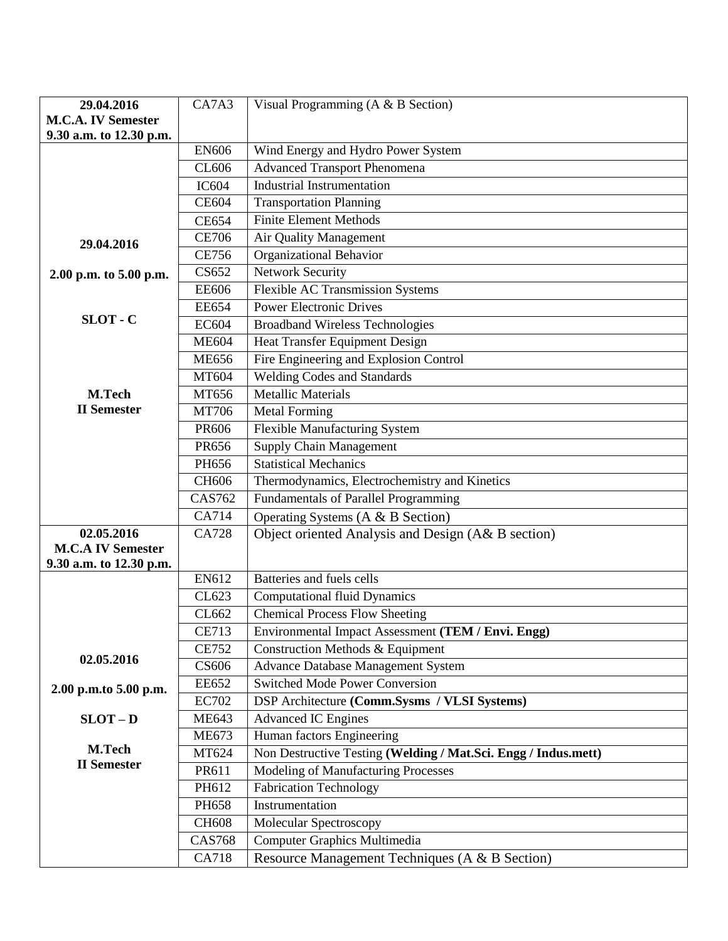| 29.04.2016                   | CA7A3         | Visual Programming ( $A \& B$ Section)                         |
|------------------------------|---------------|----------------------------------------------------------------|
| <b>M.C.A. IV Semester</b>    |               |                                                                |
| 9.30 a.m. to 12.30 p.m.      |               |                                                                |
|                              | <b>EN606</b>  | Wind Energy and Hydro Power System                             |
|                              | CL606         | <b>Advanced Transport Phenomena</b>                            |
|                              | <b>IC604</b>  | <b>Industrial Instrumentation</b>                              |
|                              | <b>CE604</b>  | <b>Transportation Planning</b>                                 |
|                              | <b>CE654</b>  | <b>Finite Element Methods</b>                                  |
| 29.04.2016                   | <b>CE706</b>  | Air Quality Management                                         |
|                              | <b>CE756</b>  | Organizational Behavior                                        |
| 2.00 p.m. to 5.00 p.m.       | CS652         | <b>Network Security</b>                                        |
|                              | <b>EE606</b>  | <b>Flexible AC Transmission Systems</b>                        |
|                              | <b>EE654</b>  | <b>Power Electronic Drives</b>                                 |
| $SLOT - C$                   | <b>EC604</b>  | <b>Broadband Wireless Technologies</b>                         |
|                              | <b>ME604</b>  | Heat Transfer Equipment Design                                 |
|                              | <b>ME656</b>  | Fire Engineering and Explosion Control                         |
|                              | MT604         | <b>Welding Codes and Standards</b>                             |
| M.Tech                       | MT656         | Metallic Materials                                             |
| <b>II</b> Semester           | <b>MT706</b>  | <b>Metal Forming</b>                                           |
|                              | <b>PR606</b>  | <b>Flexible Manufacturing System</b>                           |
|                              | PR656         | <b>Supply Chain Management</b>                                 |
|                              | PH656         | <b>Statistical Mechanics</b>                                   |
|                              | CH606         | Thermodynamics, Electrochemistry and Kinetics                  |
|                              | <b>CAS762</b> | Fundamentals of Parallel Programming                           |
|                              | CA714         | Operating Systems (A & B Section)                              |
| 02.05.2016                   | <b>CA728</b>  | Object oriented Analysis and Design (A& B section)             |
| <b>M.C.A IV Semester</b>     |               |                                                                |
| 9.30 a.m. to 12.30 p.m.      |               |                                                                |
|                              | EN612         | Batteries and fuels cells                                      |
|                              | CL623         | <b>Computational fluid Dynamics</b>                            |
|                              | CL662         | <b>Chemical Process Flow Sheeting</b>                          |
|                              | <b>CE713</b>  | Environmental Impact Assessment (TEM / Envi. Engg)             |
| 02.05.2016                   | <b>CE752</b>  | Construction Methods & Equipment                               |
|                              | CS606         | <b>Advance Database Management System</b>                      |
| 2.00 p.m.to 5.00 p.m.        | <b>EE652</b>  | <b>Switched Mode Power Conversion</b>                          |
|                              | <b>EC702</b>  | DSP Architecture (Comm.Sysms / VLSI Systems)                   |
| $SLOT - D$                   | <b>ME643</b>  | <b>Advanced IC Engines</b>                                     |
|                              | <b>ME673</b>  | Human factors Engineering                                      |
| M.Tech<br><b>II</b> Semester | MT624         | Non Destructive Testing (Welding / Mat.Sci. Engg / Indus.mett) |
|                              | PR611         | Modeling of Manufacturing Processes                            |
|                              | PH612         | <b>Fabrication Technology</b>                                  |
|                              | PH658         | Instrumentation                                                |
|                              | <b>CH608</b>  | Molecular Spectroscopy                                         |
|                              | <b>CAS768</b> | Computer Graphics Multimedia                                   |
|                              | CA718         | Resource Management Techniques (A & B Section)                 |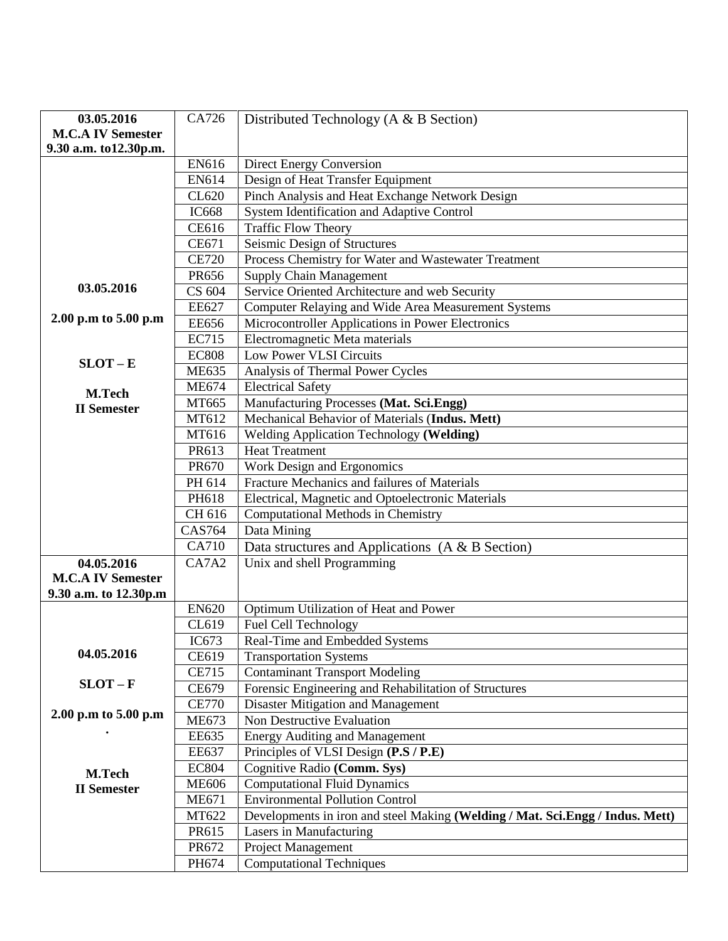| 03.05.2016               | CA726        | Distributed Technology ( $A \& B$ Section)                                    |
|--------------------------|--------------|-------------------------------------------------------------------------------|
| <b>M.C.A IV Semester</b> |              |                                                                               |
| 9.30 a.m. to12.30p.m.    |              |                                                                               |
|                          | EN616        | <b>Direct Energy Conversion</b>                                               |
|                          | EN614        | Design of Heat Transfer Equipment                                             |
|                          | CL620        | Pinch Analysis and Heat Exchange Network Design                               |
|                          |              |                                                                               |
|                          | <b>IC668</b> | <b>System Identification and Adaptive Control</b>                             |
|                          | <b>CE616</b> | <b>Traffic Flow Theory</b>                                                    |
|                          | CE671        | Seismic Design of Structures                                                  |
|                          | <b>CE720</b> | Process Chemistry for Water and Wastewater Treatment                          |
|                          | PR656        | <b>Supply Chain Management</b>                                                |
| 03.05.2016               | CS 604       | Service Oriented Architecture and web Security                                |
|                          | <b>EE627</b> | Computer Relaying and Wide Area Measurement Systems                           |
| 2.00 p.m to 5.00 p.m     | <b>EE656</b> | Microcontroller Applications in Power Electronics                             |
|                          | <b>EC715</b> | Electromagnetic Meta materials                                                |
| $SLOT - E$               | <b>EC808</b> | <b>Low Power VLSI Circuits</b>                                                |
|                          | <b>ME635</b> | Analysis of Thermal Power Cycles                                              |
| <b>M.Tech</b>            | <b>ME674</b> | <b>Electrical Safety</b>                                                      |
| <b>II</b> Semester       | MT665        | Manufacturing Processes (Mat. Sci.Engg)                                       |
|                          | MT612        | Mechanical Behavior of Materials (Indus. Mett)                                |
|                          | MT616        | Welding Application Technology (Welding)                                      |
|                          | PR613        | <b>Heat Treatment</b>                                                         |
|                          | PR670        | Work Design and Ergonomics                                                    |
|                          | PH 614       | Fracture Mechanics and failures of Materials                                  |
|                          | PH618        | Electrical, Magnetic and Optoelectronic Materials                             |
|                          | CH 616       | Computational Methods in Chemistry                                            |
|                          | CAS764       | Data Mining                                                                   |
|                          | CA710        | Data structures and Applications $(A & B$ Section)                            |
| 04.05.2016               | CA7A2        | Unix and shell Programming                                                    |
| <b>M.C.A IV Semester</b> |              |                                                                               |
| 9.30 a.m. to 12.30p.m    |              |                                                                               |
|                          | <b>EN620</b> | Optimum Utilization of Heat and Power                                         |
|                          | CL619        | Fuel Cell Technology                                                          |
|                          | IC673        | Real-Time and Embedded Systems                                                |
| 04.05.2016               | CE619        | <b>Transportation Systems</b>                                                 |
|                          | <b>CE715</b> | <b>Contaminant Transport Modeling</b>                                         |
| $SLOT - F$               | CE679        | Forensic Engineering and Rehabilitation of Structures                         |
|                          | <b>CE770</b> | Disaster Mitigation and Management                                            |
| 2.00 p.m to 5.00 p.m     | <b>ME673</b> | Non Destructive Evaluation                                                    |
|                          | <b>EE635</b> | <b>Energy Auditing and Management</b>                                         |
|                          |              |                                                                               |
|                          | <b>EE637</b> | Principles of VLSI Design (P.S / P.E)                                         |
| M.Tech                   | <b>EC804</b> | Cognitive Radio (Comm. Sys)                                                   |
| <b>II</b> Semester       | <b>ME606</b> | <b>Computational Fluid Dynamics</b>                                           |
|                          | <b>ME671</b> | <b>Environmental Pollution Control</b>                                        |
|                          | MT622        | Developments in iron and steel Making (Welding / Mat. Sci.Engg / Indus. Mett) |
|                          | PR615        | Lasers in Manufacturing                                                       |
|                          | PR672        | Project Management                                                            |
|                          | PH674        | <b>Computational Techniques</b>                                               |